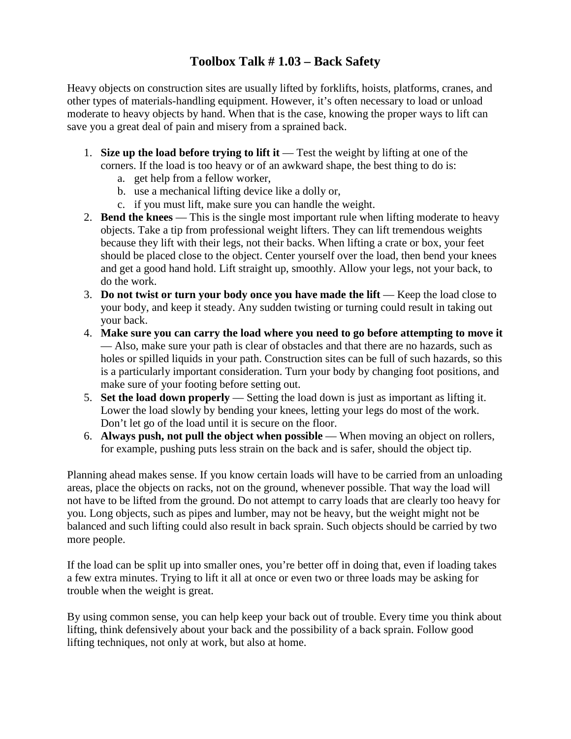## **Toolbox Talk # 1.03 – Back Safety**

Heavy objects on construction sites are usually lifted by forklifts, hoists, platforms, cranes, and other types of materials-handling equipment. However, it's often necessary to load or unload moderate to heavy objects by hand. When that is the case, knowing the proper ways to lift can save you a great deal of pain and misery from a sprained back.

- 1. **Size up the load before trying to lift it** Test the weight by lifting at one of the corners. If the load is too heavy or of an awkward shape, the best thing to do is:
	- a. get help from a fellow worker,
	- b. use a mechanical lifting device like a dolly or,
	- c. if you must lift, make sure you can handle the weight.
- 2. **Bend the knees** This is the single most important rule when lifting moderate to heavy objects. Take a tip from professional weight lifters. They can lift tremendous weights because they lift with their legs, not their backs. When lifting a crate or box, your feet should be placed close to the object. Center yourself over the load, then bend your knees and get a good hand hold. Lift straight up, smoothly. Allow your legs, not your back, to do the work.
- 3. **Do not twist or turn your body once you have made the lift** Keep the load close to your body, and keep it steady. Any sudden twisting or turning could result in taking out your back.
- 4. **Make sure you can carry the load where you need to go before attempting to move it** — Also, make sure your path is clear of obstacles and that there are no hazards, such as holes or spilled liquids in your path. Construction sites can be full of such hazards, so this is a particularly important consideration. Turn your body by changing foot positions, and make sure of your footing before setting out.
- 5. **Set the load down properly** Setting the load down is just as important as lifting it. Lower the load slowly by bending your knees, letting your legs do most of the work. Don't let go of the load until it is secure on the floor.
- 6. **Always push, not pull the object when possible** When moving an object on rollers, for example, pushing puts less strain on the back and is safer, should the object tip.

Planning ahead makes sense. If you know certain loads will have to be carried from an unloading areas, place the objects on racks, not on the ground, whenever possible. That way the load will not have to be lifted from the ground. Do not attempt to carry loads that are clearly too heavy for you. Long objects, such as pipes and lumber, may not be heavy, but the weight might not be balanced and such lifting could also result in back sprain. Such objects should be carried by two more people.

If the load can be split up into smaller ones, you're better off in doing that, even if loading takes a few extra minutes. Trying to lift it all at once or even two or three loads may be asking for trouble when the weight is great.

By using common sense, you can help keep your back out of trouble. Every time you think about lifting, think defensively about your back and the possibility of a back sprain. Follow good lifting techniques, not only at work, but also at home.